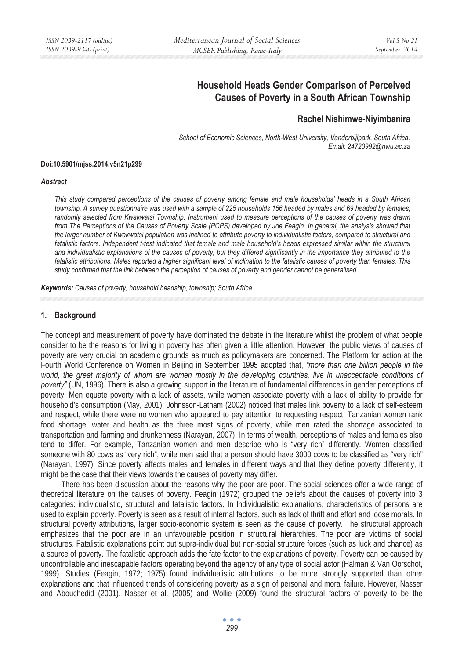# **Household Heads Gender Comparison of Perceived Causes of Poverty in a South African Township**

## **Rachel Nishimwe-Niyimbanira**

*School of Economic Sciences, North-West University, Vanderbijlpark, South Africa. Email: 24720992@nwu.ac.za* 

#### **Doi:10.5901/mjss.2014.v5n21p299**

#### *Abstract*

*This study compared perceptions of the causes of poverty among female and male households' heads in a South African township. A survey questionnaire was used with a sample of 225 households 156 headed by males and 69 headed by females, randomly selected from Kwakwatsi Township. Instrument used to measure perceptions of the causes of poverty was drawn from The Perceptions of the Causes of Poverty Scale (PCPS) developed by Joe Feagin. In general, the analysis showed that the larger number of Kwakwatsi population was inclined to attribute poverty to individualistic factors, compared to structural and fatalistic factors. Independent t-test indicated that female and male household's heads expressed similar within the structural and individualistic explanations of the causes of poverty, but they differed significantly in the importance they attributed to the fatalistic attributions. Males reported a higher significant level of inclination to the fatalistic causes of poverty than females. This study confirmed that the link between the perception of causes of poverty and gender cannot be generalised.* 

*Keywords: Causes of poverty, household headship, township; South Africa*

### **1. Background**

The concept and measurement of poverty have dominated the debate in the literature whilst the problem of what people consider to be the reasons for living in poverty has often given a little attention. However, the public views of causes of poverty are very crucial on academic grounds as much as policymakers are concerned. The Platform for action at the Fourth World Conference on Women in Beijing in September 1995 adopted that, *"more than one billion people in the*  world, the great majority of whom are women mostly in the developing countries, live in unacceptable conditions of *poverty"* (UN, 1996). There is also a growing support in the literature of fundamental differences in gender perceptions of poverty. Men equate poverty with a lack of assets, while women associate poverty with a lack of ability to provide for household's consumption (May, 2001). Johnsson-Latham (2002) noticed that males link poverty to a lack of self-esteem and respect, while there were no women who appeared to pay attention to requesting respect. Tanzanian women rank food shortage, water and health as the three most signs of poverty, while men rated the shortage associated to transportation and farming and drunkenness (Narayan, 2007). In terms of wealth, perceptions of males and females also tend to differ. For example, Tanzanian women and men describe who is "very rich" differently. Women classified someone with 80 cows as "very rich", while men said that a person should have 3000 cows to be classified as "very rich" (Narayan, 1997). Since poverty affects males and females in different ways and that they define poverty differently, it might be the case that their views towards the causes of poverty may differ.

There has been discussion about the reasons why the poor are poor. The social sciences offer a wide range of theoretical literature on the causes of poverty. Feagin (1972) grouped the beliefs about the causes of poverty into 3 categories: individualistic, structural and fatalistic factors. In Individualistic explanations, characteristics of persons are used to explain poverty. Poverty is seen as a result of internal factors, such as lack of thrift and effort and loose morals. In structural poverty attributions, larger socio-economic system is seen as the cause of poverty. The structural approach emphasizes that the poor are in an unfavourable position in structural hierarchies. The poor are victims of social structures. Fatalistic explanations point out supra-individual but non-social structure forces (such as luck and chance) as a source of poverty. The fatalistic approach adds the fate factor to the explanations of poverty. Poverty can be caused by uncontrollable and inescapable factors operating beyond the agency of any type of social actor (Halman & Van Oorschot, 1999). Studies (Feagin, 1972; 1975) found individualistic attributions to be more strongly supported than other explanations and that influenced trends of considering poverty as a sign of personal and moral failure. However, Nasser and Abouchedid (2001), Nasser et al. (2005) and Wollie (2009) found the structural factors of poverty to be the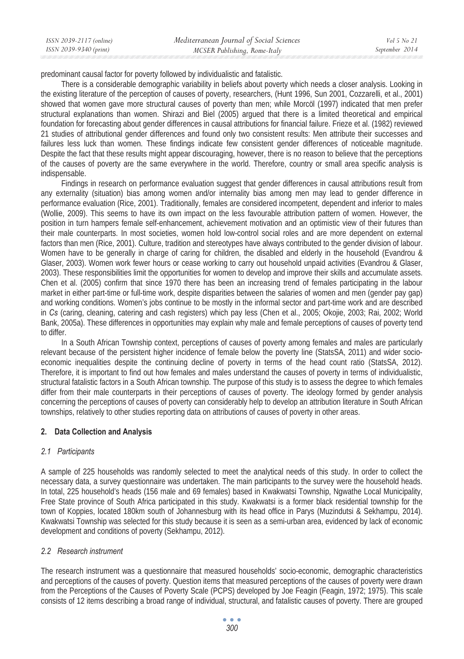predominant causal factor for poverty followed by individualistic and fatalistic.

There is a considerable demographic variability in beliefs about poverty which needs a closer analysis. Looking in the existing literature of the perception of causes of poverty, researchers, (Hunt 1996, Sun 2001, Cozzarelli, et al., 2001) showed that women gave more structural causes of poverty than men; while Morcöl (1997) indicated that men prefer structural explanations than women. Shirazi and Biel (2005) argued that there is a limited theoretical and empirical foundation for forecasting about gender differences in causal attributions for financial failure. Frieze et al. (1982) reviewed 21 studies of attributional gender differences and found only two consistent results: Men attribute their successes and failures less luck than women. These findings indicate few consistent gender differences of noticeable magnitude. Despite the fact that these results might appear discouraging, however, there is no reason to believe that the perceptions of the causes of poverty are the same everywhere in the world. Therefore, country or small area specific analysis is indispensable.

Findings in research on performance evaluation suggest that gender differences in causal attributions result from any externality (situation) bias among women and/or internality bias among men may lead to gender difference in performance evaluation (Rice, 2001). Traditionally, females are considered incompetent, dependent and inferior to males (Wollie, 2009). This seems to have its own impact on the less favourable attribution pattern of women. However, the position in turn hampers female self-enhancement, achievement motivation and an optimistic view of their futures than their male counterparts. In most societies, women hold low-control social roles and are more dependent on external factors than men (Rice, 2001). Culture, tradition and stereotypes have always contributed to the gender division of labour. Women have to be generally in charge of caring for children, the disabled and elderly in the household (Evandrou & Glaser, 2003). Women work fewer hours or cease working to carry out household unpaid activities (Evandrou & Glaser, 2003). These responsibilities limit the opportunities for women to develop and improve their skills and accumulate assets. Chen et al. (2005) confirm that since 1970 there has been an increasing trend of females participating in the labour market in either part-time or full-time work, despite disparities between the salaries of women and men (gender pay gap) and working conditions. Women's jobs continue to be mostly in the informal sector and part-time work and are described in *Cs* (caring, cleaning, catering and cash registers) which pay less (Chen et al., 2005; Okojie, 2003; Rai, 2002; World Bank, 2005a). These differences in opportunities may explain why male and female perceptions of causes of poverty tend to differ.

In a South African Township context, perceptions of causes of poverty among females and males are particularly relevant because of the persistent higher incidence of female below the poverty line (StatsSA, 2011) and wider socioeconomic inequalities despite the continuing decline of poverty in terms of the head count ratio (StatsSA, 2012). Therefore, it is important to find out how females and males understand the causes of poverty in terms of individualistic, structural fatalistic factors in a South African township. The purpose of this study is to assess the degree to which females differ from their male counterparts in their perceptions of causes of poverty. The ideology formed by gender analysis concerning the perceptions of causes of poverty can considerably help to develop an attribution literature in South African townships, relatively to other studies reporting data on attributions of causes of poverty in other areas.

### **2. Data Collection and Analysis**

## *2.1 Participants*

A sample of 225 households was randomly selected to meet the analytical needs of this study. In order to collect the necessary data, a survey questionnaire was undertaken. The main participants to the survey were the household heads. In total, 225 household's heads (156 male and 69 females) based in Kwakwatsi Township, Ngwathe Local Municipality, Free State province of South Africa participated in this study. Kwakwatsi is a former black residential township for the town of Koppies, located 180km south of Johannesburg with its head office in Parys (Muzindutsi & Sekhampu, 2014). Kwakwatsi Township was selected for this study because it is seen as a semi-urban area, evidenced by lack of economic development and conditions of poverty (Sekhampu, 2012).

## *2.2 Research instrument*

The research instrument was a questionnaire that measured households' socio-economic, demographic characteristics and perceptions of the causes of poverty. Question items that measured perceptions of the causes of poverty were drawn from the Perceptions of the Causes of Poverty Scale (PCPS) developed by Joe Feagin (Feagin, 1972; 1975). This scale consists of 12 items describing a broad range of individual, structural, and fatalistic causes of poverty. There are grouped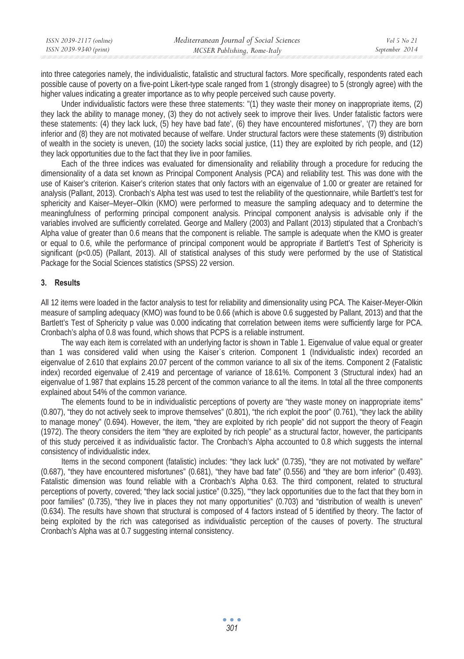| ISSN 2039-2117 (online) | Mediterranean Journal of Social Sciences | Vol 5 No 21    |
|-------------------------|------------------------------------------|----------------|
| ISSN 2039-9340 (print)  | MCSER Publishing, Rome-Italy             | September 2014 |
|                         |                                          |                |

into three categories namely, the individualistic, fatalistic and structural factors. More specifically, respondents rated each possible cause of poverty on a five-point Likert-type scale ranged from 1 (strongly disagree) to 5 (strongly agree) with the higher values indicating a greater importance as to why people perceived such cause poverty.

Under individualistic factors were these three statements: "(1) they waste their money on inappropriate items, (2) they lack the ability to manage money, (3) they do not actively seek to improve their lives. Under fatalistic factors were these statements: (4) they lack luck, (5) hey have bad fate', (6) they have encountered misfortunes', '(7) they are born inferior and (8) they are not motivated because of welfare. Under structural factors were these statements (9) distribution of wealth in the society is uneven, (10) the society lacks social justice, (11) they are exploited by rich people, and (12) they lack opportunities due to the fact that they live in poor families.

Each of the three indices was evaluated for dimensionality and reliability through a procedure for reducing the dimensionality of a data set known as Principal Component Analysis (PCA) and reliability test. This was done with the use of Kaiser's criterion. Kaiser's criterion states that only factors with an eigenvalue of 1.00 or greater are retained for analysis (Pallant, 2013). Cronbach's Alpha test was used to test the reliability of the questionnaire, while Bartlett's test for sphericity and Kaiser–Meyer–Olkin (KMO) were performed to measure the sampling adequacy and to determine the meaningfulness of performing principal component analysis. Principal component analysis is advisable only if the variables involved are sufficiently correlated. George and Mallery (2003) and Pallant (2013) stipulated that a Cronbach's Alpha value of greater than 0.6 means that the component is reliable. The sample is adequate when the KMO is greater or equal to 0.6, while the performance of principal component would be appropriate if Bartlett's Test of Sphericity is significant (p<0.05) (Pallant, 2013). All of statistical analyses of this study were performed by the use of Statistical Package for the Social Sciences statistics (SPSS) 22 version.

### **3. Results**

All 12 items were loaded in the factor analysis to test for reliability and dimensionality using PCA. The Kaiser-Meyer-Olkin measure of sampling adequacy (KMO) was found to be 0.66 (which is above 0.6 suggested by Pallant, 2013) and that the Bartlett's Test of Sphericity p value was 0.000 indicating that correlation between items were sufficiently large for PCA. Cronbach's alpha of 0.8 was found, which shows that PCPS is a reliable instrument.

The way each item is correlated with an underlying factor is shown in Table 1. Eigenvalue of value equal or greater than 1 was considered valid when using the Kaiser`s criterion. Component 1 (Individualistic index) recorded an eigenvalue of 2.610 that explains 20.07 percent of the common variance to all six of the items. Component 2 (Fatalistic index) recorded eigenvalue of 2.419 and percentage of variance of 18.61%. Component 3 (Structural index) had an eigenvalue of 1.987 that explains 15.28 percent of the common variance to all the items. In total all the three components explained about 54% of the common variance.

The elements found to be in individualistic perceptions of poverty are "they waste money on inappropriate items" (0.807), "they do not actively seek to improve themselves" (0.801), "the rich exploit the poor" (0.761), "they lack the ability to manage money" (0.694). However, the item, "they are exploited by rich people" did not support the theory of Feagin (1972). The theory considers the item "they are exploited by rich people" as a structural factor, however, the participants of this study perceived it as individualistic factor. The Cronbach's Alpha accounted to 0.8 which suggests the internal consistency of individualistic index.

Items in the second component (fatalistic) includes: "they lack luck" (0.735), "they are not motivated by welfare" (0.687), "they have encountered misfortunes" (0.681), "they have bad fate" (0.556) and "they are born inferior" (0.493). Fatalistic dimension was found reliable with a Cronbach's Alpha 0.63. The third component, related to structural perceptions of poverty, covered; "they lack social justice" (0.325), "'they lack opportunities due to the fact that they born in poor families" (0.735), "they live in places they not many opportunities" (0.703) and "distribution of wealth is uneven" (0.634). The results have shown that structural is composed of 4 factors instead of 5 identified by theory. The factor of being exploited by the rich was categorised as individualistic perception of the causes of poverty. The structural Cronbach's Alpha was at 0.7 suggesting internal consistency.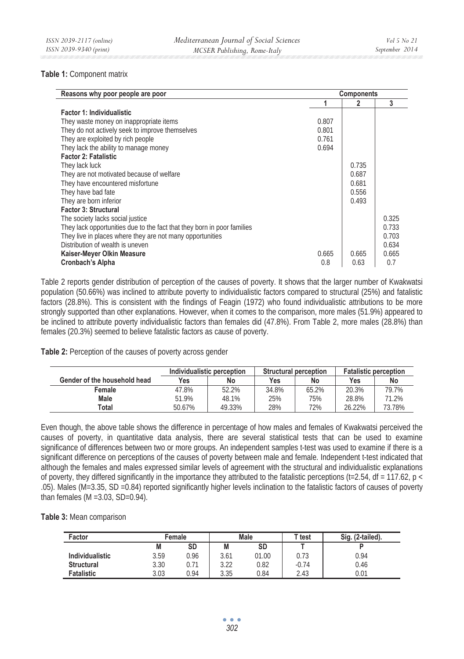## **Table 1:** Component matrix

| Reasons why poor people are poor                                        |       |       | <b>Components</b> |  |  |
|-------------------------------------------------------------------------|-------|-------|-------------------|--|--|
|                                                                         |       | 2     | 3                 |  |  |
| <b>Factor 1: Individualistic</b>                                        |       |       |                   |  |  |
| They waste money on inappropriate items                                 | 0.807 |       |                   |  |  |
| They do not actively seek to improve themselves                         | 0.801 |       |                   |  |  |
| They are exploited by rich people                                       | 0.761 |       |                   |  |  |
| They lack the ability to manage money                                   | 0.694 |       |                   |  |  |
| <b>Factor 2: Fatalistic</b>                                             |       |       |                   |  |  |
| They lack luck                                                          |       | 0.735 |                   |  |  |
| They are not motivated because of welfare                               |       | 0.687 |                   |  |  |
| They have encountered misfortune                                        |       | 0.681 |                   |  |  |
| They have bad fate                                                      |       | 0.556 |                   |  |  |
| They are born inferior                                                  |       | 0.493 |                   |  |  |
| <b>Factor 3: Structural</b>                                             |       |       |                   |  |  |
| The society lacks social justice                                        |       |       | 0.325             |  |  |
| They lack opportunities due to the fact that they born in poor families |       |       | 0.733             |  |  |
| They live in places where they are not many opportunities               |       |       | 0.703             |  |  |
| Distribution of wealth is uneven                                        |       |       | 0.634             |  |  |
| Kaiser-Meyer Olkin Measure                                              | 0.665 | 0.665 | 0.665             |  |  |
| Cronbach's Alpha                                                        | 0.8   | 0.63  | 0.7               |  |  |

Table 2 reports gender distribution of perception of the causes of poverty. It shows that the larger number of Kwakwatsi population (50.66%) was inclined to attribute poverty to individualistic factors compared to structural (25%) and fatalistic factors (28.8%). This is consistent with the findings of Feagin (1972) who found individualistic attributions to be more strongly supported than other explanations. However, when it comes to the comparison, more males (51.9%) appeared to be inclined to attribute poverty individualistic factors than females did (47.8%). From Table 2, more males (28.8%) than females (20.3%) seemed to believe fatalistic factors as cause of poverty.

### **Table 2:** Perception of the causes of poverty across gender

|                              | Individualistic perception |        | <b>Structural perception</b> |       | <b>Fatalistic perception</b> |        |
|------------------------------|----------------------------|--------|------------------------------|-------|------------------------------|--------|
| Gender of the household head | Yes                        | No     | Yes                          | No    | Yes                          | No     |
| Female                       | 47.8%                      | 52.2%  | 34.8%                        | 65.2% | 20.3%                        | 79.7%  |
| Male                         | 51.9%                      | 48.1%  | 25%                          | 75%   | 28.8%                        | 71.2%  |
| Total                        | 50.67%                     | 49.33% | 28%                          | 72%   | 26.22%                       | 73.78% |

Even though, the above table shows the difference in percentage of how males and females of Kwakwatsi perceived the causes of poverty, in quantitative data analysis, there are several statistical tests that can be used to examine significance of differences between two or more groups. An independent samples t-test was used to examine if there is a significant difference on perceptions of the causes of poverty between male and female. Independent t-test indicated that although the females and males expressed similar levels of agreement with the structural and individualistic explanations of poverty, they differed significantly in the importance they attributed to the fatalistic perceptions (t=2.54, df = 117.62,  $p <$ .05). Males (M=3.35, SD =0.84) reported significantly higher levels inclination to the fatalistic factors of causes of poverty than females (M =3.03, SD=0.94).

**Table 3:** Mean comparison

| Factor                 |      | Male<br>Female |      |       | T test  | Sig. (2-tailed). |
|------------------------|------|----------------|------|-------|---------|------------------|
|                        | M    | SD             | M    | SD    |         |                  |
| <b>Individualistic</b> | 3.59 | 0.96           | 3.61 | 01.00 | 0.73    | 0.94             |
| <b>Structural</b>      | 3.30 | 0.71           | 3.22 | 0.82  | $-0.74$ | 0.46             |
| Fatalistic             | 3.03 | 0.94           | 3.35 | 0.84  | 2.43    | 0.01             |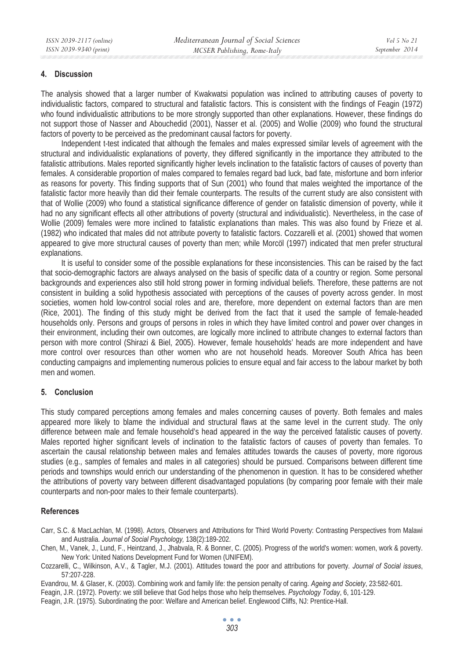## **4. Discussion**

The analysis showed that a larger number of Kwakwatsi population was inclined to attributing causes of poverty to individualistic factors, compared to structural and fatalistic factors. This is consistent with the findings of Feagin (1972) who found individualistic attributions to be more strongly supported than other explanations. However, these findings do not support those of Nasser and Abouchedid (2001), Nasser et al. (2005) and Wollie (2009) who found the structural factors of poverty to be perceived as the predominant causal factors for poverty.

Independent t-test indicated that although the females and males expressed similar levels of agreement with the structural and individualistic explanations of poverty, they differed significantly in the importance they attributed to the fatalistic attributions. Males reported significantly higher levels inclination to the fatalistic factors of causes of poverty than females. A considerable proportion of males compared to females regard bad luck, bad fate, misfortune and born inferior as reasons for poverty. This finding supports that of Sun (2001) who found that males weighted the importance of the fatalistic factor more heavily than did their female counterparts. The results of the current study are also consistent with that of Wollie (2009) who found a statistical significance difference of gender on fatalistic dimension of poverty, while it had no any significant effects all other attributions of poverty (structural and individualistic). Nevertheless, in the case of Wollie (2009) females were more inclined to fatalistic explanations than males. This was also found by Frieze et al. (1982) who indicated that males did not attribute poverty to fatalistic factors. Cozzarelli et al. (2001) showed that women appeared to give more structural causes of poverty than men; while Morcöl (1997) indicated that men prefer structural explanations.

It is useful to consider some of the possible explanations for these inconsistencies. This can be raised by the fact that socio-demographic factors are always analysed on the basis of specific data of a country or region. Some personal backgrounds and experiences also still hold strong power in forming individual beliefs. Therefore, these patterns are not consistent in building a solid hypothesis associated with perceptions of the causes of poverty across gender. In most societies, women hold low-control social roles and are, therefore, more dependent on external factors than are men (Rice, 2001). The finding of this study might be derived from the fact that it used the sample of female-headed households only. Persons and groups of persons in roles in which they have limited control and power over changes in their environment, including their own outcomes, are logically more inclined to attribute changes to external factors than person with more control (Shirazi & Biel, 2005). However, female households' heads are more independent and have more control over resources than other women who are not household heads. Moreover South Africa has been conducting campaigns and implementing numerous policies to ensure equal and fair access to the labour market by both men and women.

## **5. Conclusion**

This study compared perceptions among females and males concerning causes of poverty. Both females and males appeared more likely to blame the individual and structural flaws at the same level in the current study. The only difference between male and female household's head appeared in the way the perceived fatalistic causes of poverty. Males reported higher significant levels of inclination to the fatalistic factors of causes of poverty than females. To ascertain the causal relationship between males and females attitudes towards the causes of poverty, more rigorous studies (e.g., samples of females and males in all categories) should be pursued. Comparisons between different time periods and townships would enrich our understanding of the phenomenon in question. It has to be considered whether the attributions of poverty vary between different disadvantaged populations (by comparing poor female with their male counterparts and non-poor males to their female counterparts).

## **References**

- Carr, S.C. & MacLachlan, M. (1998). Actors, Observers and Attributions for Third World Poverty: Contrasting Perspectives from Malawi and Australia. *Journal of Social Psychology,* 138(2):189-202.
- Chen, M., Vanek, J., Lund, F., Heintzand, J., Jhabvala, R. & Bonner, C. (2005). Progress of the world's women: women, work & poverty. New York: United Nations Development Fund for Women (UNIFEM).
- Cozzarelli, C., Wilkinson, A.V., & Tagler, M.J. (2001). Attitudes toward the poor and attributions for poverty*. Journal of Social issues*, 57:207-228.
- Evandrou, M. & Glaser, K. (2003). Combining work and family life: the pension penalty of caring. *Ageing and Society*, 23:582-601.
- Feagin, J.R. (1972). Poverty: we still believe that God helps those who help themselves. *Psychology Today*, 6, 101-129.
- Feagin, J.R. (1975). Subordinating the poor: Welfare and American belief. Englewood Cliffs, NJ: Prentice-Hall.